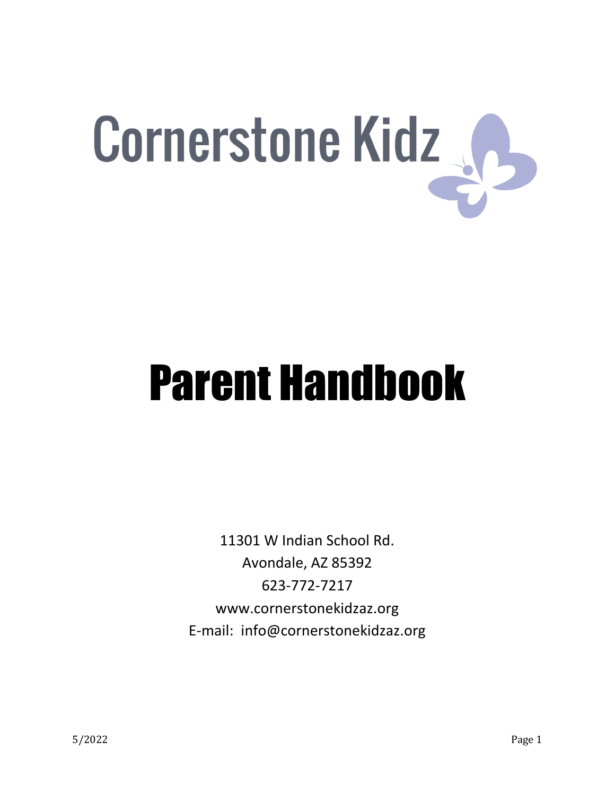

## Parent Handbook

11301 W Indian School Rd. Avondale, AZ 85392 623-772-7217 www.cornerstonekidzaz.org E-mail: info@cornerstonekidzaz.org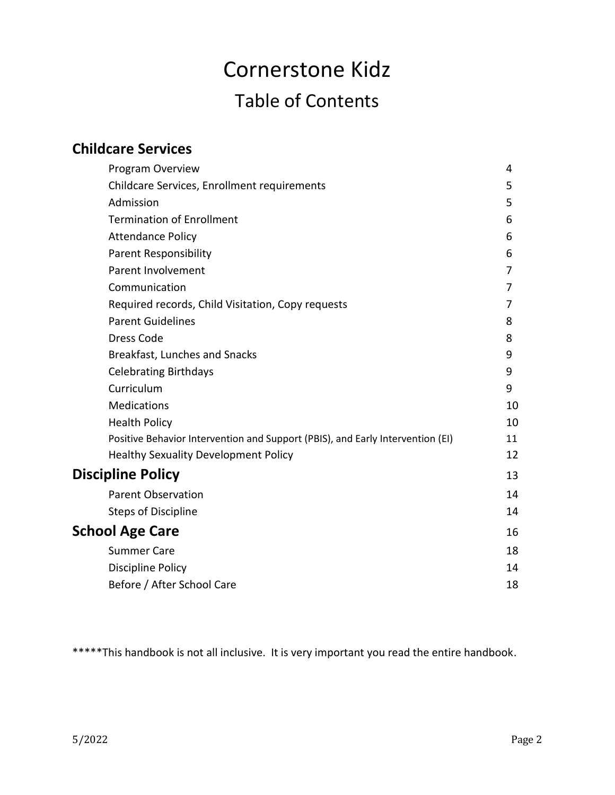## Cornerstone Kidz Table of Contents

| <b>Childcare Services</b>                                                      |    |
|--------------------------------------------------------------------------------|----|
| Program Overview                                                               | 4  |
| Childcare Services, Enrollment requirements                                    | 5  |
| Admission                                                                      | 5  |
| <b>Termination of Enrollment</b>                                               | 6  |
| <b>Attendance Policy</b>                                                       | 6  |
| <b>Parent Responsibility</b>                                                   | 6  |
| Parent Involvement                                                             | 7  |
| Communication                                                                  | 7  |
| Required records, Child Visitation, Copy requests                              | 7  |
| <b>Parent Guidelines</b>                                                       | 8  |
| <b>Dress Code</b>                                                              | 8  |
| Breakfast, Lunches and Snacks                                                  | 9  |
| <b>Celebrating Birthdays</b>                                                   | 9  |
| Curriculum                                                                     | 9  |
| <b>Medications</b>                                                             | 10 |
| <b>Health Policy</b>                                                           | 10 |
| Positive Behavior Intervention and Support (PBIS), and Early Intervention (EI) | 11 |
| <b>Healthy Sexuality Development Policy</b>                                    | 12 |
| <b>Discipline Policy</b>                                                       | 13 |
| <b>Parent Observation</b>                                                      | 14 |
| <b>Steps of Discipline</b>                                                     | 14 |
| <b>School Age Care</b>                                                         | 16 |
| <b>Summer Care</b>                                                             | 18 |
| <b>Discipline Policy</b>                                                       | 14 |
| Before / After School Care                                                     | 18 |

\*\*\*\*\*This handbook is not all inclusive. It is very important you read the entire handbook.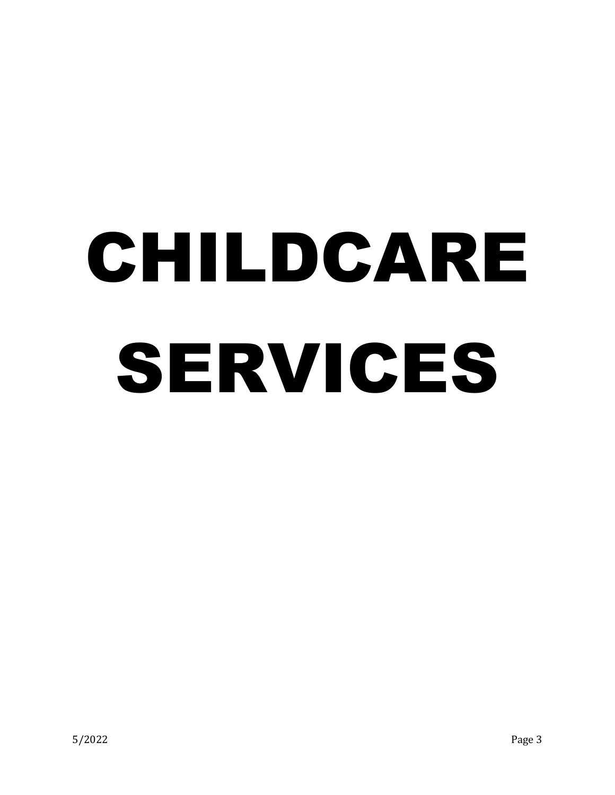## CHILDCARE SERVICES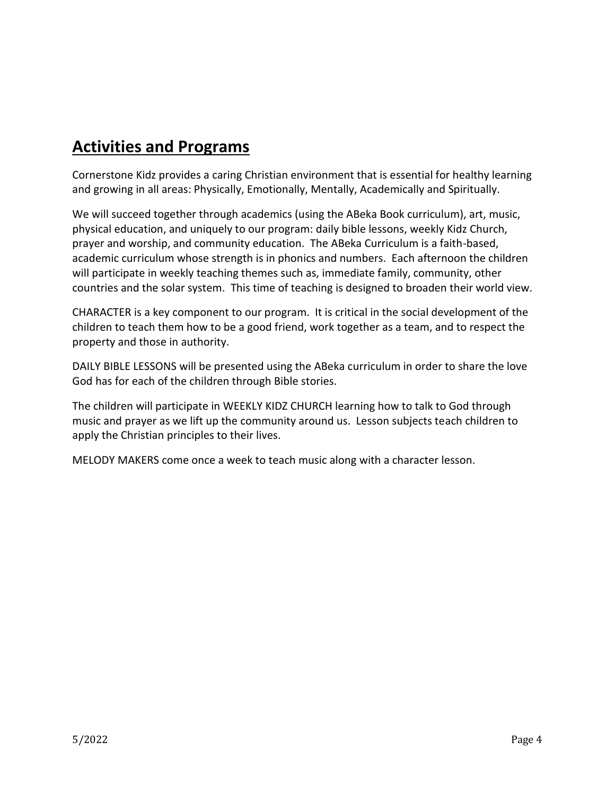## **Activities and Programs**

Cornerstone Kidz provides a caring Christian environment that is essential for healthy learning and growing in all areas: Physically, Emotionally, Mentally, Academically and Spiritually.

We will succeed together through academics (using the ABeka Book curriculum), art, music, physical education, and uniquely to our program: daily bible lessons, weekly Kidz Church, prayer and worship, and community education. The ABeka Curriculum is a faith-based, academic curriculum whose strength is in phonics and numbers. Each afternoon the children will participate in weekly teaching themes such as, immediate family, community, other countries and the solar system. This time of teaching is designed to broaden their world view.

CHARACTER is a key component to our program. It is critical in the social development of the children to teach them how to be a good friend, work together as a team, and to respect the property and those in authority.

DAILY BIBLE LESSONS will be presented using the ABeka curriculum in order to share the love God has for each of the children through Bible stories.

The children will participate in WEEKLY KIDZ CHURCH learning how to talk to God through music and prayer as we lift up the community around us. Lesson subjects teach children to apply the Christian principles to their lives.

MELODY MAKERS come once a week to teach music along with a character lesson.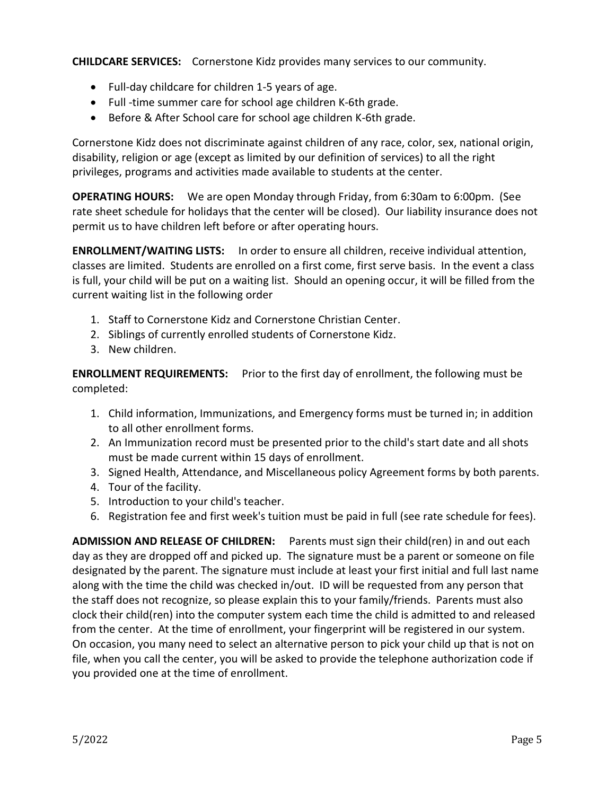**CHILDCARE SERVICES:** Cornerstone Kidz provides many services to our community.

- Full-day childcare for children 1-5 years of age.
- Full -time summer care for school age children K-6th grade.
- Before & After School care for school age children K-6th grade.

Cornerstone Kidz does not discriminate against children of any race, color, sex, national origin, disability, religion or age (except as limited by our definition of services) to all the right privileges, programs and activities made available to students at the center.

**OPERATING HOURS:** We are open Monday through Friday, from 6:30am to 6:00pm. (See rate sheet schedule for holidays that the center will be closed). Our liability insurance does not permit us to have children left before or after operating hours.

**ENROLLMENT/WAITING LISTS:** In order to ensure all children, receive individual attention, classes are limited. Students are enrolled on a first come, first serve basis. In the event a class is full, your child will be put on a waiting list. Should an opening occur, it will be filled from the current waiting list in the following order

- 1. Staff to Cornerstone Kidz and Cornerstone Christian Center.
- 2. Siblings of currently enrolled students of Cornerstone Kidz.
- 3. New children.

**ENROLLMENT REQUIREMENTS:** Prior to the first day of enrollment, the following must be completed:

- 1. Child information, Immunizations, and Emergency forms must be turned in; in addition to all other enrollment forms.
- 2. An Immunization record must be presented prior to the child's start date and all shots must be made current within 15 days of enrollment.
- 3. Signed Health, Attendance, and Miscellaneous policy Agreement forms by both parents.
- 4. Tour of the facility.
- 5. Introduction to your child's teacher.
- 6. Registration fee and first week's tuition must be paid in full (see rate schedule for fees).

**ADMISSION AND RELEASE OF CHILDREN:** Parents must sign their child(ren) in and out each day as they are dropped off and picked up. The signature must be a parent or someone on file designated by the parent. The signature must include at least your first initial and full last name along with the time the child was checked in/out. ID will be requested from any person that the staff does not recognize, so please explain this to your family/friends. Parents must also clock their child(ren) into the computer system each time the child is admitted to and released from the center. At the time of enrollment, your fingerprint will be registered in our system. On occasion, you many need to select an alternative person to pick your child up that is not on file, when you call the center, you will be asked to provide the telephone authorization code if you provided one at the time of enrollment.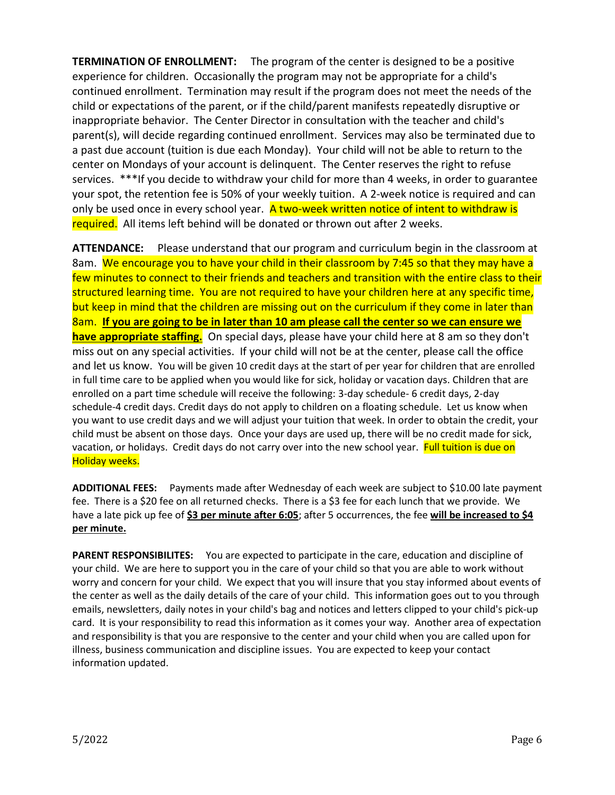**TERMINATION OF ENROLLMENT:** The program of the center is designed to be a positive experience for children. Occasionally the program may not be appropriate for a child's continued enrollment. Termination may result if the program does not meet the needs of the child or expectations of the parent, or if the child/parent manifests repeatedly disruptive or inappropriate behavior. The Center Director in consultation with the teacher and child's parent(s), will decide regarding continued enrollment. Services may also be terminated due to a past due account (tuition is due each Monday). Your child will not be able to return to the center on Mondays of your account is delinquent. The Center reserves the right to refuse services. \*\*\*If you decide to withdraw your child for more than 4 weeks, in order to guarantee your spot, the retention fee is 50% of your weekly tuition. A 2-week notice is required and can only be used once in every school year. A two-week written notice of intent to withdraw is required. All items left behind will be donated or thrown out after 2 weeks.

**ATTENDANCE:** Please understand that our program and curriculum begin in the classroom at 8am. We encourage you to have your child in their classroom by 7:45 so that they may have a few minutes to connect to their friends and teachers and transition with the entire class to their structured learning time. You are not required to have your children here at any specific time, but keep in mind that the children are missing out on the curriculum if they come in later than 8am. **If you are going to be in later than 10 am please call the center so we can ensure we have appropriate staffing.** On special days, please have your child here at 8 am so they don't miss out on any special activities. If your child will not be at the center, please call the office and let us know. You will be given 10 credit days at the start of per year for children that are enrolled in full time care to be applied when you would like for sick, holiday or vacation days. Children that are enrolled on a part time schedule will receive the following: 3-day schedule- 6 credit days, 2-day schedule-4 credit days. Credit days do not apply to children on a floating schedule. Let us know when you want to use credit days and we will adjust your tuition that week. In order to obtain the credit, your child must be absent on those days. Once your days are used up, there will be no credit made for sick, vacation, or holidays. Credit days do not carry over into the new school year. Full tuition is due on Holiday weeks.

**ADDITIONAL FEES:** Payments made after Wednesday of each week are subject to \$10.00 late payment fee. There is a \$20 fee on all returned checks. There is a \$3 fee for each lunch that we provide. We have a late pick up fee of **\$3 per minute after 6:05**; after 5 occurrences, the fee **will be increased to \$4 per minute.**

**PARENT RESPONSIBILITES:** You are expected to participate in the care, education and discipline of your child. We are here to support you in the care of your child so that you are able to work without worry and concern for your child. We expect that you will insure that you stay informed about events of the center as well as the daily details of the care of your child. This information goes out to you through emails, newsletters, daily notes in your child's bag and notices and letters clipped to your child's pick-up card. It is your responsibility to read this information as it comes your way. Another area of expectation and responsibility is that you are responsive to the center and your child when you are called upon for illness, business communication and discipline issues. You are expected to keep your contact information updated.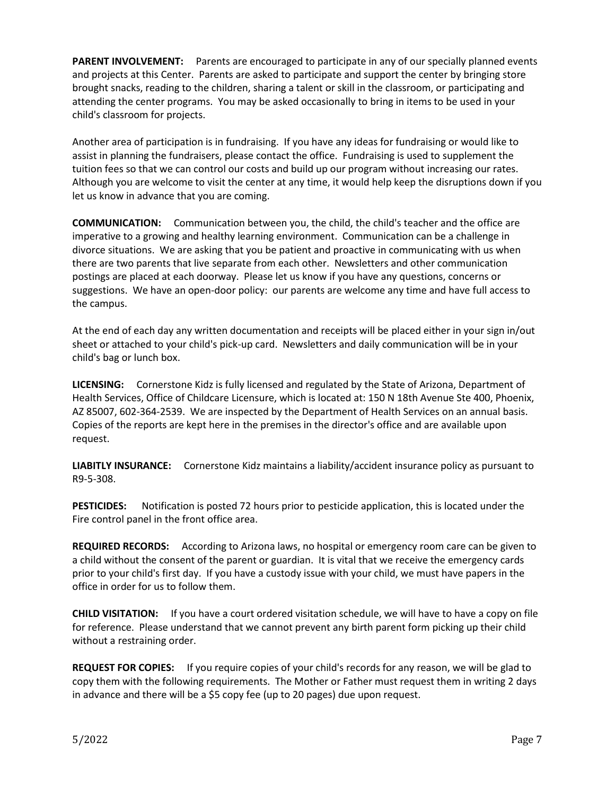**PARENT INVOLVEMENT:** Parents are encouraged to participate in any of our specially planned events and projects at this Center. Parents are asked to participate and support the center by bringing store brought snacks, reading to the children, sharing a talent or skill in the classroom, or participating and attending the center programs. You may be asked occasionally to bring in items to be used in your child's classroom for projects.

Another area of participation is in fundraising. If you have any ideas for fundraising or would like to assist in planning the fundraisers, please contact the office. Fundraising is used to supplement the tuition fees so that we can control our costs and build up our program without increasing our rates. Although you are welcome to visit the center at any time, it would help keep the disruptions down if you let us know in advance that you are coming.

**COMMUNICATION:** Communication between you, the child, the child's teacher and the office are imperative to a growing and healthy learning environment. Communication can be a challenge in divorce situations. We are asking that you be patient and proactive in communicating with us when there are two parents that live separate from each other. Newsletters and other communication postings are placed at each doorway. Please let us know if you have any questions, concerns or suggestions. We have an open-door policy: our parents are welcome any time and have full access to the campus.

At the end of each day any written documentation and receipts will be placed either in your sign in/out sheet or attached to your child's pick-up card. Newsletters and daily communication will be in your child's bag or lunch box.

**LICENSING:** Cornerstone Kidz is fully licensed and regulated by the State of Arizona, Department of Health Services, Office of Childcare Licensure, which is located at: 150 N 18th Avenue Ste 400, Phoenix, AZ 85007, 602-364-2539. We are inspected by the Department of Health Services on an annual basis. Copies of the reports are kept here in the premises in the director's office and are available upon request.

**LIABITLY INSURANCE:** Cornerstone Kidz maintains a liability/accident insurance policy as pursuant to R9-5-308.

**PESTICIDES:** Notification is posted 72 hours prior to pesticide application, this is located under the Fire control panel in the front office area.

**REQUIRED RECORDS:** According to Arizona laws, no hospital or emergency room care can be given to a child without the consent of the parent or guardian. It is vital that we receive the emergency cards prior to your child's first day. If you have a custody issue with your child, we must have papers in the office in order for us to follow them.

**CHILD VISITATION:** If you have a court ordered visitation schedule, we will have to have a copy on file for reference. Please understand that we cannot prevent any birth parent form picking up their child without a restraining order.

**REQUEST FOR COPIES:** If you require copies of your child's records for any reason, we will be glad to copy them with the following requirements. The Mother or Father must request them in writing 2 days in advance and there will be a \$5 copy fee (up to 20 pages) due upon request.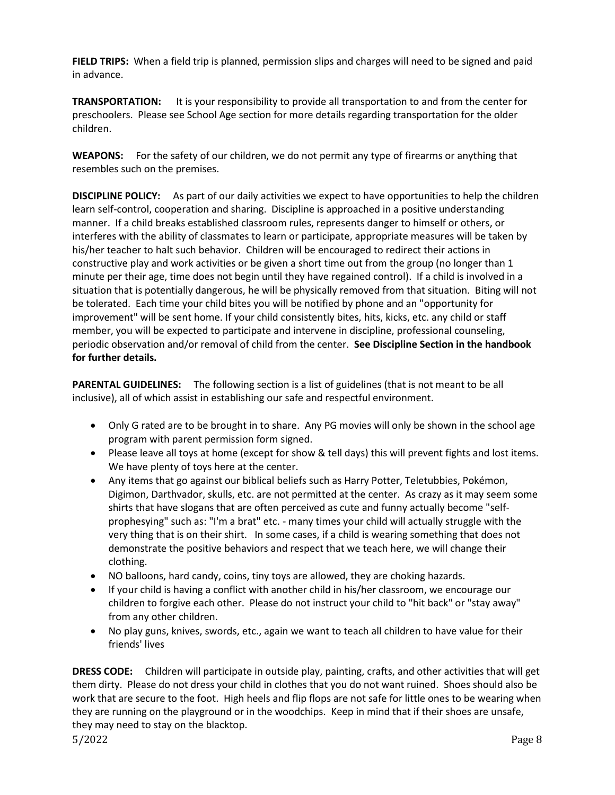**FIELD TRIPS:** When a field trip is planned, permission slips and charges will need to be signed and paid in advance.

**TRANSPORTATION:** It is your responsibility to provide all transportation to and from the center for preschoolers. Please see School Age section for more details regarding transportation for the older children.

**WEAPONS:** For the safety of our children, we do not permit any type of firearms or anything that resembles such on the premises.

**DISCIPLINE POLICY:** As part of our daily activities we expect to have opportunities to help the children learn self-control, cooperation and sharing. Discipline is approached in a positive understanding manner. If a child breaks established classroom rules, represents danger to himself or others, or interferes with the ability of classmates to learn or participate, appropriate measures will be taken by his/her teacher to halt such behavior. Children will be encouraged to redirect their actions in constructive play and work activities or be given a short time out from the group (no longer than 1 minute per their age, time does not begin until they have regained control). If a child is involved in a situation that is potentially dangerous, he will be physically removed from that situation. Biting will not be tolerated. Each time your child bites you will be notified by phone and an "opportunity for improvement" will be sent home. If your child consistently bites, hits, kicks, etc. any child or staff member, you will be expected to participate and intervene in discipline, professional counseling, periodic observation and/or removal of child from the center. **See Discipline Section in the handbook for further details.**

**PARENTAL GUIDELINES:** The following section is a list of guidelines (that is not meant to be all inclusive), all of which assist in establishing our safe and respectful environment.

- Only G rated are to be brought in to share. Any PG movies will only be shown in the school age program with parent permission form signed.
- Please leave all toys at home (except for show & tell days) this will prevent fights and lost items. We have plenty of toys here at the center.
- Any items that go against our biblical beliefs such as Harry Potter, Teletubbies, Pokémon, Digimon, Darthvador, skulls, etc. are not permitted at the center. As crazy as it may seem some shirts that have slogans that are often perceived as cute and funny actually become "selfprophesying" such as: "I'm a brat" etc. - many times your child will actually struggle with the very thing that is on their shirt. In some cases, if a child is wearing something that does not demonstrate the positive behaviors and respect that we teach here, we will change their clothing.
- NO balloons, hard candy, coins, tiny toys are allowed, they are choking hazards.
- If your child is having a conflict with another child in his/her classroom, we encourage our children to forgive each other. Please do not instruct your child to "hit back" or "stay away" from any other children.
- No play guns, knives, swords, etc., again we want to teach all children to have value for their friends' lives

5/2022 Page 8 **DRESS CODE:** Children will participate in outside play, painting, crafts, and other activities that will get them dirty. Please do not dress your child in clothes that you do not want ruined. Shoes should also be work that are secure to the foot. High heels and flip flops are not safe for little ones to be wearing when they are running on the playground or in the woodchips. Keep in mind that if their shoes are unsafe, they may need to stay on the blacktop.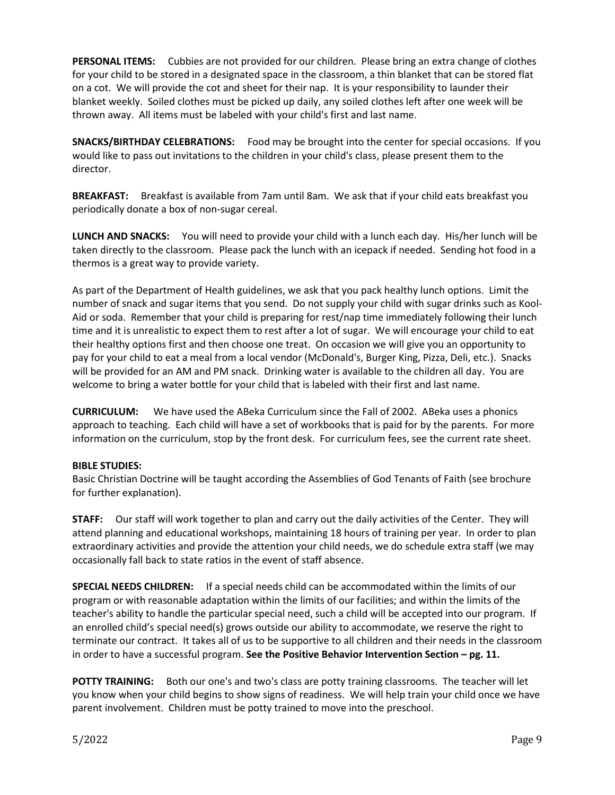**PERSONAL ITEMS:** Cubbies are not provided for our children. Please bring an extra change of clothes for your child to be stored in a designated space in the classroom, a thin blanket that can be stored flat on a cot. We will provide the cot and sheet for their nap. It is your responsibility to launder their blanket weekly. Soiled clothes must be picked up daily, any soiled clothes left after one week will be thrown away. All items must be labeled with your child's first and last name.

**SNACKS/BIRTHDAY CELEBRATIONS:** Food may be brought into the center for special occasions. If you would like to pass out invitations to the children in your child's class, please present them to the director.

**BREAKFAST:** Breakfast is available from 7am until 8am. We ask that if your child eats breakfast you periodically donate a box of non-sugar cereal.

**LUNCH AND SNACKS:** You will need to provide your child with a lunch each day. His/her lunch will be taken directly to the classroom. Please pack the lunch with an icepack if needed. Sending hot food in a thermos is a great way to provide variety.

As part of the Department of Health guidelines, we ask that you pack healthy lunch options. Limit the number of snack and sugar items that you send. Do not supply your child with sugar drinks such as Kool-Aid or soda. Remember that your child is preparing for rest/nap time immediately following their lunch time and it is unrealistic to expect them to rest after a lot of sugar. We will encourage your child to eat their healthy options first and then choose one treat. On occasion we will give you an opportunity to pay for your child to eat a meal from a local vendor (McDonald's, Burger King, Pizza, Deli, etc.). Snacks will be provided for an AM and PM snack. Drinking water is available to the children all day. You are welcome to bring a water bottle for your child that is labeled with their first and last name.

**CURRICULUM:** We have used the ABeka Curriculum since the Fall of 2002. ABeka uses a phonics approach to teaching. Each child will have a set of workbooks that is paid for by the parents. For more information on the curriculum, stop by the front desk. For curriculum fees, see the current rate sheet.

#### **BIBLE STUDIES:**

Basic Christian Doctrine will be taught according the Assemblies of God Tenants of Faith (see brochure for further explanation).

**STAFF:** Our staff will work together to plan and carry out the daily activities of the Center. They will attend planning and educational workshops, maintaining 18 hours of training per year. In order to plan extraordinary activities and provide the attention your child needs, we do schedule extra staff (we may occasionally fall back to state ratios in the event of staff absence.

**SPECIAL NEEDS CHILDREN:** If a special needs child can be accommodated within the limits of our program or with reasonable adaptation within the limits of our facilities; and within the limits of the teacher's ability to handle the particular special need, such a child will be accepted into our program. If an enrolled child's special need(s) grows outside our ability to accommodate, we reserve the right to terminate our contract. It takes all of us to be supportive to all children and their needs in the classroom in order to have a successful program. **See the Positive Behavior Intervention Section – pg. 11.**

**POTTY TRAINING:** Both our one's and two's class are potty training classrooms. The teacher will let you know when your child begins to show signs of readiness. We will help train your child once we have parent involvement. Children must be potty trained to move into the preschool.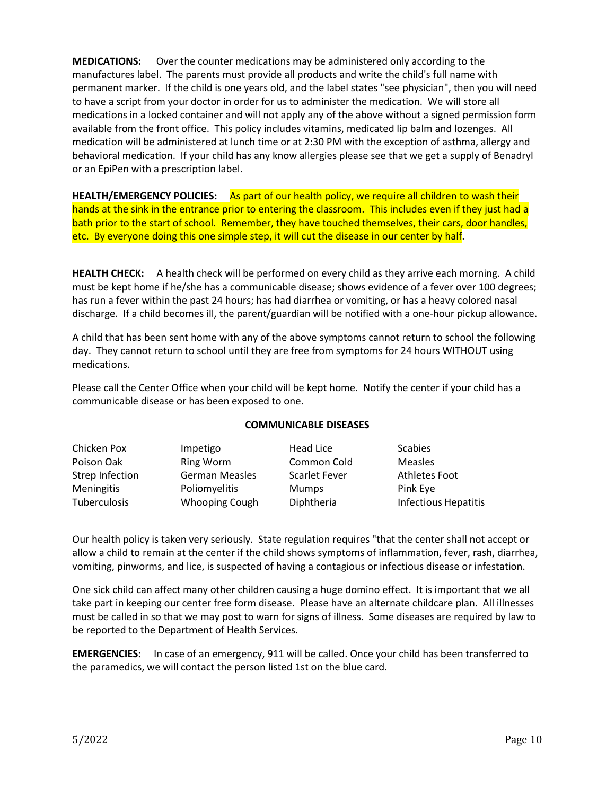**MEDICATIONS:** Over the counter medications may be administered only according to the manufactures label. The parents must provide all products and write the child's full name with permanent marker. If the child is one years old, and the label states "see physician", then you will need to have a script from your doctor in order for us to administer the medication. We will store all medications in a locked container and will not apply any of the above without a signed permission form available from the front office. This policy includes vitamins, medicated lip balm and lozenges. All medication will be administered at lunch time or at 2:30 PM with the exception of asthma, allergy and behavioral medication. If your child has any know allergies please see that we get a supply of Benadryl or an EpiPen with a prescription label.

HEALTH/EMERGENCY POLICIES: As part of our health policy, we require all children to wash their hands at the sink in the entrance prior to entering the classroom. This includes even if they just had a bath prior to the start of school. Remember, they have touched themselves, their cars, door handles, etc. By everyone doing this one simple step, it will cut the disease in our center by half.

**HEALTH CHECK:** A health check will be performed on every child as they arrive each morning. A child must be kept home if he/she has a communicable disease; shows evidence of a fever over 100 degrees; has run a fever within the past 24 hours; has had diarrhea or vomiting, or has a heavy colored nasal discharge. If a child becomes ill, the parent/guardian will be notified with a one-hour pickup allowance.

A child that has been sent home with any of the above symptoms cannot return to school the following day. They cannot return to school until they are free from symptoms for 24 hours WITHOUT using medications.

Please call the Center Office when your child will be kept home. Notify the center if your child has a communicable disease or has been exposed to one.

| Chicken Pox       | Impetigo              | Head Lice            | <b>Scabies</b>              |
|-------------------|-----------------------|----------------------|-----------------------------|
| Poison Oak        | <b>Ring Worm</b>      | Common Cold          | Measles                     |
| Strep Infection   | <b>German Measles</b> | <b>Scarlet Fever</b> | <b>Athletes Foot</b>        |
| <b>Meningitis</b> | Poliomyelitis         | <b>Mumps</b>         | Pink Eye                    |
| Tuberculosis      | <b>Whooping Cough</b> | Diphtheria           | <b>Infectious Hepatitis</b> |
|                   |                       |                      |                             |

### **COMMUNICABLE DISEASES**

Our health policy is taken very seriously. State regulation requires "that the center shall not accept or allow a child to remain at the center if the child shows symptoms of inflammation, fever, rash, diarrhea, vomiting, pinworms, and lice, is suspected of having a contagious or infectious disease or infestation.

One sick child can affect many other children causing a huge domino effect. It is important that we all take part in keeping our center free form disease. Please have an alternate childcare plan. All illnesses must be called in so that we may post to warn for signs of illness. Some diseases are required by law to be reported to the Department of Health Services.

**EMERGENCIES:** In case of an emergency, 911 will be called. Once your child has been transferred to the paramedics, we will contact the person listed 1st on the blue card.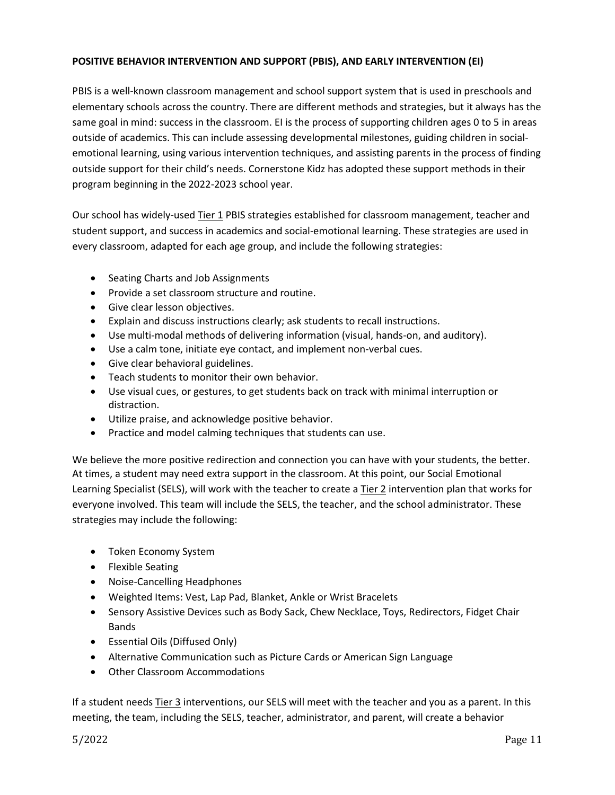### **POSITIVE BEHAVIOR INTERVENTION AND SUPPORT (PBIS), AND EARLY INTERVENTION (EI)**

PBIS is a well-known classroom management and school support system that is used in preschools and elementary schools across the country. There are different methods and strategies, but it always has the same goal in mind: success in the classroom. EI is the process of supporting children ages 0 to 5 in areas outside of academics. This can include assessing developmental milestones, guiding children in socialemotional learning, using various intervention techniques, and assisting parents in the process of finding outside support for their child's needs. Cornerstone Kidz has adopted these support methods in their program beginning in the 2022-2023 school year.

Our school has widely-used Tier 1 PBIS strategies established for classroom management, teacher and student support, and success in academics and social-emotional learning. These strategies are used in every classroom, adapted for each age group, and include the following strategies:

- Seating Charts and Job Assignments
- Provide a set classroom structure and routine.
- Give clear lesson objectives.
- Explain and discuss instructions clearly; ask students to recall instructions.
- Use multi-modal methods of delivering information (visual, hands-on, and auditory).
- Use a calm tone, initiate eye contact, and implement non-verbal cues.
- Give clear behavioral guidelines.
- Teach students to monitor their own behavior.
- Use visual cues, or gestures, to get students back on track with minimal interruption or distraction.
- Utilize praise, and acknowledge positive behavior.
- Practice and model calming techniques that students can use.

We believe the more positive redirection and connection you can have with your students, the better. At times, a student may need extra support in the classroom. At this point, our Social Emotional Learning Specialist (SELS), will work with the teacher to create a Tier 2 intervention plan that works for everyone involved. This team will include the SELS, the teacher, and the school administrator. These strategies may include the following:

- Token Economy System
- Flexible Seating
- Noise-Cancelling Headphones
- Weighted Items: Vest, Lap Pad, Blanket, Ankle or Wrist Bracelets
- Sensory Assistive Devices such as Body Sack, Chew Necklace, Toys, Redirectors, Fidget Chair Bands
- Essential Oils (Diffused Only)
- Alternative Communication such as Picture Cards or American Sign Language
- Other Classroom Accommodations

If a student needs Tier 3 interventions, our SELS will meet with the teacher and you as a parent. In this meeting, the team, including the SELS, teacher, administrator, and parent, will create a behavior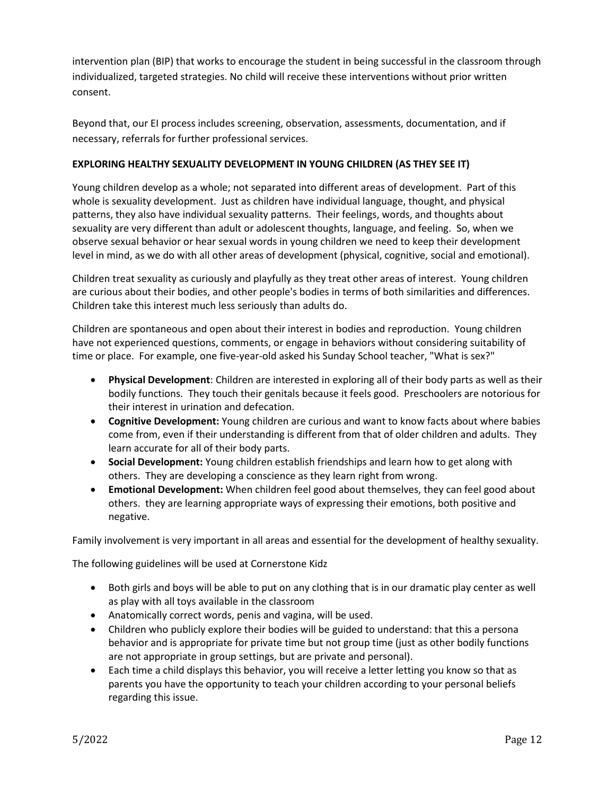intervention plan (BIP) that works to encourage the student in being successful in the classroom through individualized, targeted strategies. No child will receive these interventions without prior written consent.

Beyond that, our EI process includes screening, observation, assessments, documentation, and if necessary, referrals for further professional services.

### **EXPLORING HEALTHY SEXUALITY DEVELOPMENT IN YOUNG CHILDREN (AS THEY SEE IT)**

Young children develop as a whole; not separated into different areas of development. Part of this whole is sexuality development. Just as children have individual language, thought, and physical patterns, they also have individual sexuality patterns. Their feelings, words, and thoughts about sexuality are very different than adult or adolescent thoughts, language, and feeling. So, when we observe sexual behavior or hear sexual words in young children we need to keep their development level in mind, as we do with all other areas of development (physical, cognitive, social and emotional).

Children treat sexuality as curiously and playfully as they treat other areas of interest. Young children are curious about their bodies, and other people's bodies in terms of both similarities and differences. Children take this interest much less seriously than adults do.

Children are spontaneous and open about their interest in bodies and reproduction. Young children have not experienced questions, comments, or engage in behaviors without considering suitability of time or place. For example, one five-year-old asked his Sunday School teacher, "What is sex?"

- **Physical Development**: Children are interested in exploring all of their body parts as well as their bodily functions. They touch their genitals because it feels good. Preschoolers are notorious for their interest in urination and defecation.
- **Cognitive Development:** Young children are curious and want to know facts about where babies come from, even if their understanding is different from that of older children and adults. They learn accurate for all of their body parts.
- **Social Development:** Young children establish friendships and learn how to get along with others. They are developing a conscience as they learn right from wrong.
- **Emotional Development:** When children feel good about themselves, they can feel good about others. they are learning appropriate ways of expressing their emotions, both positive and negative.

Family involvement is very important in all areas and essential for the development of healthy sexuality.

The following guidelines will be used at Cornerstone Kidz

- Both girls and boys will be able to put on any clothing that is in our dramatic play center as well as play with all toys available in the classroom
- Anatomically correct words, penis and vagina, will be used.
- Children who publicly explore their bodies will be guided to understand: that this a persona behavior and is appropriate for private time but not group time (just as other bodily functions are not appropriate in group settings, but are private and personal).
- Each time a child displays this behavior, you will receive a letter letting you know so that as parents you have the opportunity to teach your children according to your personal beliefs regarding this issue.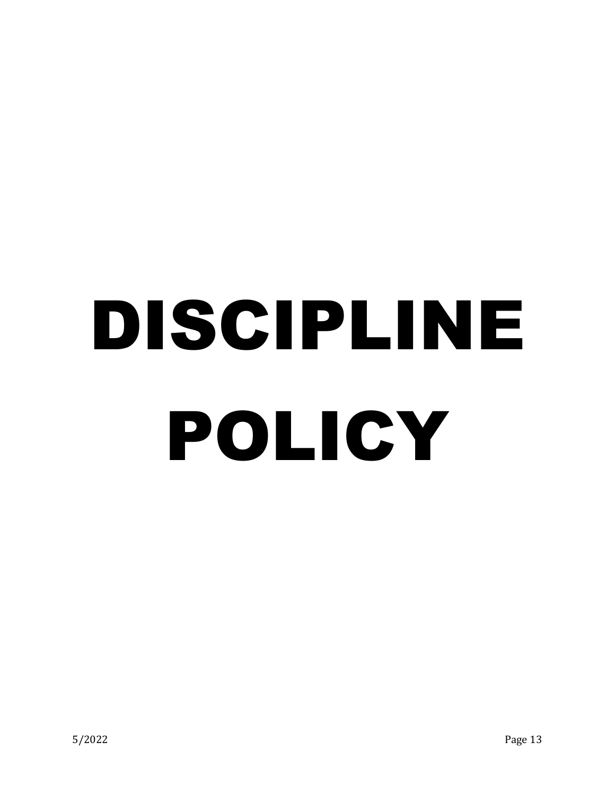## DISCIPLINE POLICY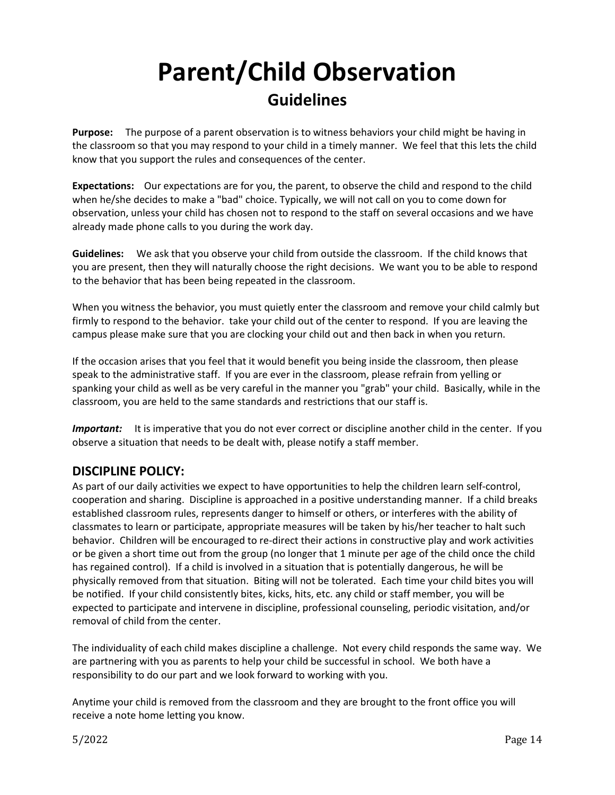## **Parent/Child Observation Guidelines**

**Purpose:** The purpose of a parent observation is to witness behaviors your child might be having in the classroom so that you may respond to your child in a timely manner. We feel that this lets the child know that you support the rules and consequences of the center.

**Expectations:** Our expectations are for you, the parent, to observe the child and respond to the child when he/she decides to make a "bad" choice. Typically, we will not call on you to come down for observation, unless your child has chosen not to respond to the staff on several occasions and we have already made phone calls to you during the work day.

**Guidelines:** We ask that you observe your child from outside the classroom. If the child knows that you are present, then they will naturally choose the right decisions. We want you to be able to respond to the behavior that has been being repeated in the classroom.

When you witness the behavior, you must quietly enter the classroom and remove your child calmly but firmly to respond to the behavior. take your child out of the center to respond. If you are leaving the campus please make sure that you are clocking your child out and then back in when you return.

If the occasion arises that you feel that it would benefit you being inside the classroom, then please speak to the administrative staff. If you are ever in the classroom, please refrain from yelling or spanking your child as well as be very careful in the manner you "grab" your child. Basically, while in the classroom, you are held to the same standards and restrictions that our staff is.

*Important:* It is imperative that you do not ever correct or discipline another child in the center. If you observe a situation that needs to be dealt with, please notify a staff member.

## **DISCIPLINE POLICY:**

As part of our daily activities we expect to have opportunities to help the children learn self-control, cooperation and sharing. Discipline is approached in a positive understanding manner. If a child breaks established classroom rules, represents danger to himself or others, or interferes with the ability of classmates to learn or participate, appropriate measures will be taken by his/her teacher to halt such behavior. Children will be encouraged to re-direct their actions in constructive play and work activities or be given a short time out from the group (no longer that 1 minute per age of the child once the child has regained control). If a child is involved in a situation that is potentially dangerous, he will be physically removed from that situation. Biting will not be tolerated. Each time your child bites you will be notified. If your child consistently bites, kicks, hits, etc. any child or staff member, you will be expected to participate and intervene in discipline, professional counseling, periodic visitation, and/or removal of child from the center.

The individuality of each child makes discipline a challenge. Not every child responds the same way. We are partnering with you as parents to help your child be successful in school. We both have a responsibility to do our part and we look forward to working with you.

Anytime your child is removed from the classroom and they are brought to the front office you will receive a note home letting you know.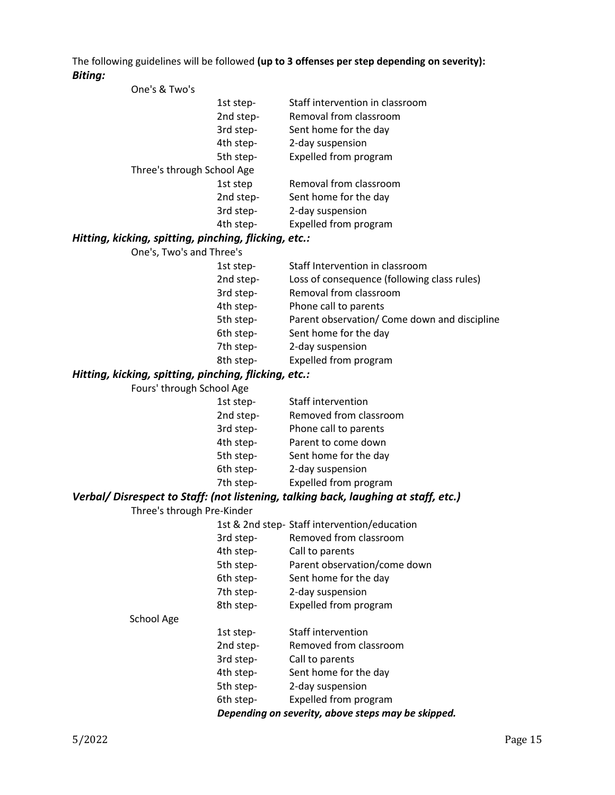The following guidelines will be followed **(up to 3 offenses per step depending on severity):** *Biting:*

| One's & Two's                               |           |                                 |
|---------------------------------------------|-----------|---------------------------------|
|                                             | 1st step- | Staff intervention in classroom |
|                                             | 2nd step- | Removal from classroom          |
|                                             | 3rd step- | Sent home for the day           |
|                                             | 4th step- | 2-day suspension                |
|                                             | 5th step- | Expelled from program           |
| Three's through School Age                  |           |                                 |
|                                             | 1st step  | Removal from classroom          |
|                                             | 2nd step- | Sent home for the day           |
|                                             | 3rd step- | 2-day suspension                |
|                                             | 4th step- | Expelled from program           |
| ومغم ومنادناك ومنطومنو ومنطنوه ومنامنا ومنت |           |                                 |

#### *Hitting, kicking, spitting, pinching, flicking, etc.:*

| One's, Two's and Three's |                                              |
|--------------------------|----------------------------------------------|
| 1st step-                | Staff Intervention in classroom              |
| 2nd step-                | Loss of consequence (following class rules)  |
| 3rd step-                | Removal from classroom                       |
| 4th step-                | Phone call to parents                        |
| 5th step-                | Parent observation/ Come down and discipline |
| 6th step-                | Sent home for the day                        |
| 7th step-                | 2-day suspension                             |
| 8th step-                | Expelled from program                        |

## *Hitting, kicking, spitting, pinching, flicking, etc.:*

| Fours' through School Age |           |                        |
|---------------------------|-----------|------------------------|
|                           | 1st step- | Staff intervention     |
|                           | 2nd step- | Removed from classroom |
|                           | 3rd step- | Phone call to parents  |
|                           | 4th step- | Parent to come down    |
|                           | 5th step- | Sent home for the day  |
|                           | 6th step- | 2-day suspension       |
|                           | 7th step- | Expelled from program  |

## *Verbal/ Disrespect to Staff: (not listening, talking back, laughing at staff, etc.)*

Three's through Pre-Kinder

|            |           | 1st & 2nd step- Staff intervention/education       |
|------------|-----------|----------------------------------------------------|
|            | 3rd step- | Removed from classroom                             |
|            | 4th step- | Call to parents                                    |
|            | 5th step- | Parent observation/come down                       |
|            | 6th step- | Sent home for the day                              |
|            | 7th step- | 2-day suspension                                   |
|            | 8th step- | Expelled from program                              |
| School Age |           |                                                    |
|            | 1st step- | Staff intervention                                 |
|            | 2nd step- | Removed from classroom                             |
|            | 3rd step- | Call to parents                                    |
|            | 4th step- | Sent home for the day                              |
|            | 5th step- | 2-day suspension                                   |
|            | 6th step- | Expelled from program                              |
|            |           | Depending on severity, above steps may be skipped. |
|            |           |                                                    |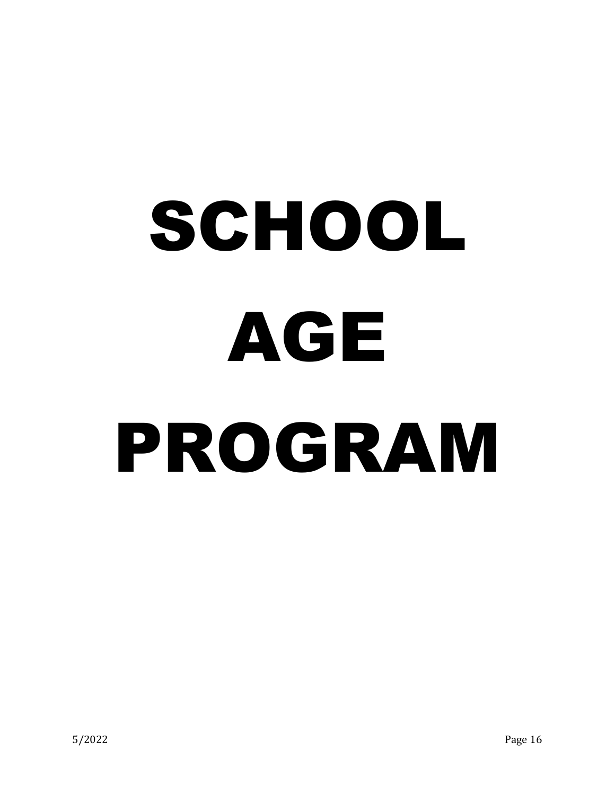# SCHOOL AGE PROGRAM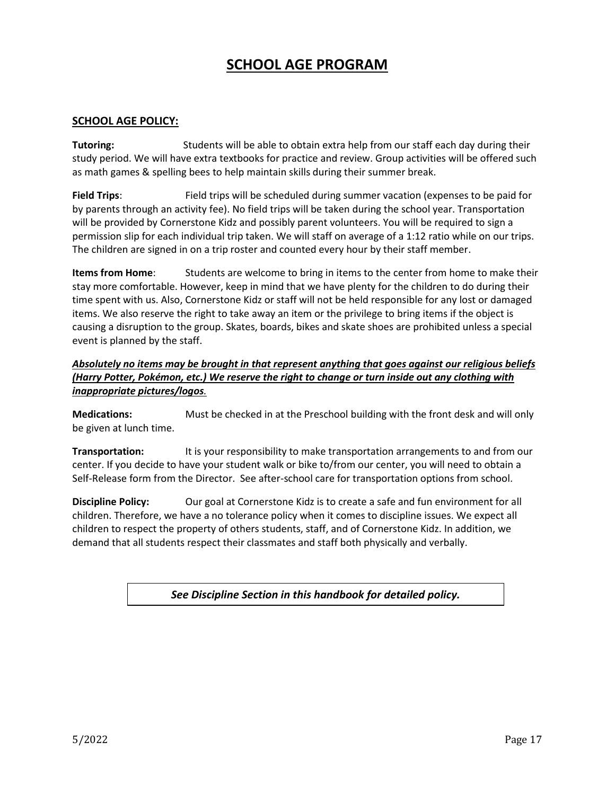## **SCHOOL AGE PROGRAM**

### **SCHOOL AGE POLICY:**

**Tutoring:** Students will be able to obtain extra help from our staff each day during their study period. We will have extra textbooks for practice and review. Group activities will be offered such as math games & spelling bees to help maintain skills during their summer break.

**Field Trips**: Field trips will be scheduled during summer vacation (expenses to be paid for by parents through an activity fee). No field trips will be taken during the school year. Transportation will be provided by Cornerstone Kidz and possibly parent volunteers. You will be required to sign a permission slip for each individual trip taken. We will staff on average of a 1:12 ratio while on our trips. The children are signed in on a trip roster and counted every hour by their staff member.

**Items from Home**: Students are welcome to bring in items to the center from home to make their stay more comfortable. However, keep in mind that we have plenty for the children to do during their time spent with us. Also, Cornerstone Kidz or staff will not be held responsible for any lost or damaged items. We also reserve the right to take away an item or the privilege to bring items if the object is causing a disruption to the group. Skates, boards, bikes and skate shoes are prohibited unless a special event is planned by the staff.

*Absolutely no items may be brought in that represent anything that goes against our religious beliefs (Harry Potter, Pokémon, etc.) We reserve the right to change or turn inside out any clothing with inappropriate pictures/logos.* 

**Medications:** Must be checked in at the Preschool building with the front desk and will only be given at lunch time.

**Transportation:** It is your responsibility to make transportation arrangements to and from our center. If you decide to have your student walk or bike to/from our center, you will need to obtain a Self-Release form from the Director. See after-school care for transportation options from school.

**Discipline Policy:** Our goal at Cornerstone Kidz is to create a safe and fun environment for all children. Therefore, we have a no tolerance policy when it comes to discipline issues. We expect all children to respect the property of others students, staff, and of Cornerstone Kidz. In addition, we demand that all students respect their classmates and staff both physically and verbally.

*See Discipline Section in this handbook for detailed policy.*